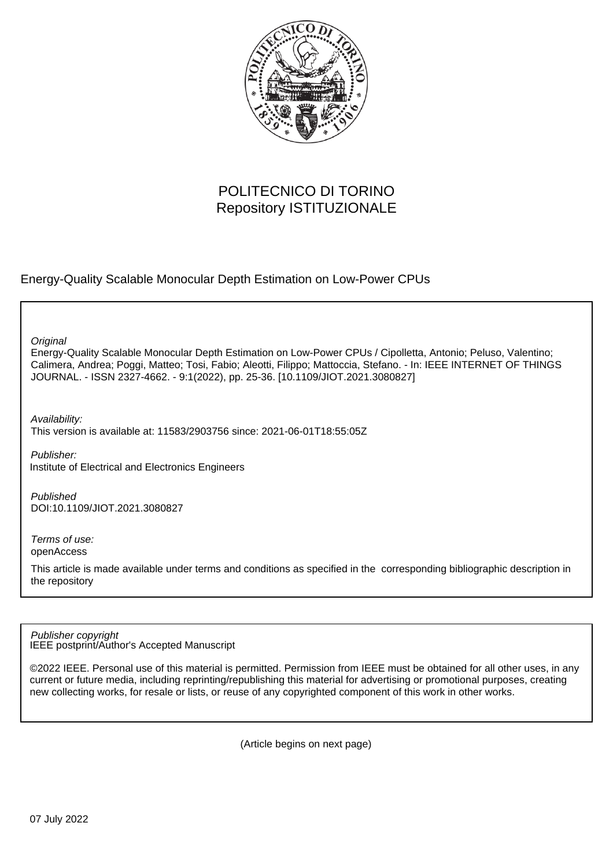

# POLITECNICO DI TORINO Repository ISTITUZIONALE

Energy-Quality Scalable Monocular Depth Estimation on Low-Power CPUs

**Original** 

Energy-Quality Scalable Monocular Depth Estimation on Low-Power CPUs / Cipolletta, Antonio; Peluso, Valentino; Calimera, Andrea; Poggi, Matteo; Tosi, Fabio; Aleotti, Filippo; Mattoccia, Stefano. - In: IEEE INTERNET OF THINGS JOURNAL. - ISSN 2327-4662. - 9:1(2022), pp. 25-36. [10.1109/JIOT.2021.3080827]

Availability: This version is available at: 11583/2903756 since: 2021-06-01T18:55:05Z

Publisher: Institute of Electrical and Electronics Engineers

Published DOI:10.1109/JIOT.2021.3080827

Terms of use: openAccess

This article is made available under terms and conditions as specified in the corresponding bibliographic description in the repository

IEEE postprint/Author's Accepted Manuscript Publisher copyright

©2022 IEEE. Personal use of this material is permitted. Permission from IEEE must be obtained for all other uses, in any current or future media, including reprinting/republishing this material for advertising or promotional purposes, creating new collecting works, for resale or lists, or reuse of any copyrighted component of this work in other works.

(Article begins on next page)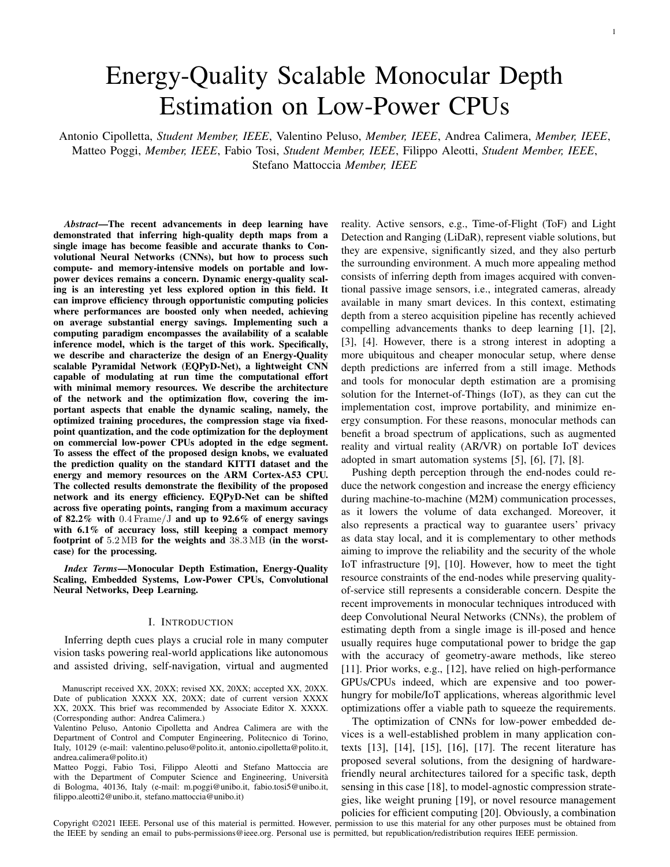Antonio Cipolletta, *Student Member, IEEE*, Valentino Peluso, *Member, IEEE*, Andrea Calimera, *Member, IEEE*, Matteo Poggi, *Member, IEEE*, Fabio Tosi, *Student Member, IEEE*, Filippo Aleotti, *Student Member, IEEE*, Stefano Mattoccia *Member, IEEE*

*Abstract*—The recent advancements in deep learning have demonstrated that inferring high-quality depth maps from a single image has become feasible and accurate thanks to Convolutional Neural Networks (CNNs), but how to process such compute- and memory-intensive models on portable and lowpower devices remains a concern. Dynamic energy-quality scaling is an interesting yet less explored option in this field. It can improve efficiency through opportunistic computing policies where performances are boosted only when needed, achieving on average substantial energy savings. Implementing such a computing paradigm encompasses the availability of a scalable inference model, which is the target of this work. Specifically, we describe and characterize the design of an Energy-Quality scalable Pyramidal Network (EQPyD-Net), a lightweight CNN capable of modulating at run time the computational effort with minimal memory resources. We describe the architecture of the network and the optimization flow, covering the important aspects that enable the dynamic scaling, namely, the optimized training procedures, the compression stage via fixedpoint quantization, and the code optimization for the deployment on commercial low-power CPUs adopted in the edge segment. To assess the effect of the proposed design knobs, we evaluated the prediction quality on the standard KITTI dataset and the energy and memory resources on the ARM Cortex-A53 CPU. The collected results demonstrate the flexibility of the proposed network and its energy efficiency. EQPyD-Net can be shifted across five operating points, ranging from a maximum accuracy of 82.2% with  $0.4$  Frame/J and up to 92.6% of energy savings with 6.1% of accuracy loss, still keeping a compact memory footprint of 5.2 MB for the weights and 38.3 MB (in the worstcase) for the processing.

*Index Terms*—Monocular Depth Estimation, Energy-Quality Scaling, Embedded Systems, Low-Power CPUs, Convolutional Neural Networks, Deep Learning.

### I. INTRODUCTION

Inferring depth cues plays a crucial role in many computer vision tasks powering real-world applications like autonomous and assisted driving, self-navigation, virtual and augmented

Matteo Poggi, Fabio Tosi, Filippo Aleotti and Stefano Mattoccia are with the Department of Computer Science and Engineering, Università di Bologma, 40136, Italy (e-mail: m.poggi@unibo.it, fabio.tosi5@unibo.it, filippo.aleotti2@unibo.it, stefano.mattoccia@unibo.it)

reality. Active sensors, e.g., Time-of-Flight (ToF) and Light Detection and Ranging (LiDaR), represent viable solutions, but they are expensive, significantly sized, and they also perturb the surrounding environment. A much more appealing method consists of inferring depth from images acquired with conventional passive image sensors, i.e., integrated cameras, already available in many smart devices. In this context, estimating depth from a stereo acquisition pipeline has recently achieved compelling advancements thanks to deep learning [1], [2], [3], [4]. However, there is a strong interest in adopting a more ubiquitous and cheaper monocular setup, where dense depth predictions are inferred from a still image. Methods and tools for monocular depth estimation are a promising solution for the Internet-of-Things (IoT), as they can cut the implementation cost, improve portability, and minimize energy consumption. For these reasons, monocular methods can benefit a broad spectrum of applications, such as augmented reality and virtual reality (AR/VR) on portable IoT devices adopted in smart automation systems [5], [6], [7], [8].

Pushing depth perception through the end-nodes could reduce the network congestion and increase the energy efficiency during machine-to-machine (M2M) communication processes, as it lowers the volume of data exchanged. Moreover, it also represents a practical way to guarantee users' privacy as data stay local, and it is complementary to other methods aiming to improve the reliability and the security of the whole IoT infrastructure [9], [10]. However, how to meet the tight resource constraints of the end-nodes while preserving qualityof-service still represents a considerable concern. Despite the recent improvements in monocular techniques introduced with deep Convolutional Neural Networks (CNNs), the problem of estimating depth from a single image is ill-posed and hence usually requires huge computational power to bridge the gap with the accuracy of geometry-aware methods, like stereo [11]. Prior works, e.g., [12], have relied on high-performance GPUs/CPUs indeed, which are expensive and too powerhungry for mobile/IoT applications, whereas algorithmic level optimizations offer a viable path to squeeze the requirements.

The optimization of CNNs for low-power embedded devices is a well-established problem in many application contexts [13], [14], [15], [16], [17]. The recent literature has proposed several solutions, from the designing of hardwarefriendly neural architectures tailored for a specific task, depth sensing in this case [18], to model-agnostic compression strategies, like weight pruning [19], or novel resource management policies for efficient computing [20]. Obviously, a combination

Copyright ©2021 IEEE. Personal use of this material is permitted. However, permission to use this material for any other purposes must be obtained from the IEEE by sending an email to pubs-permissions@ieee.org. Personal use is permitted, but republication/redistribution requires IEEE permission.

Manuscript received XX, 20XX; revised XX, 20XX; accepted XX, 20XX. Date of publication XXXX XX, 20XX; date of current version XXXX XX, 20XX. This brief was recommended by Associate Editor X. XXXX. (Corresponding author: Andrea Calimera.)

Valentino Peluso, Antonio Cipolletta and Andrea Calimera are with the Department of Control and Computer Engineering, Politecnico di Torino, Italy, 10129 (e-mail: valentino.peluso@polito.it, antonio.cipolletta@polito.it, andrea.calimera@polito.it)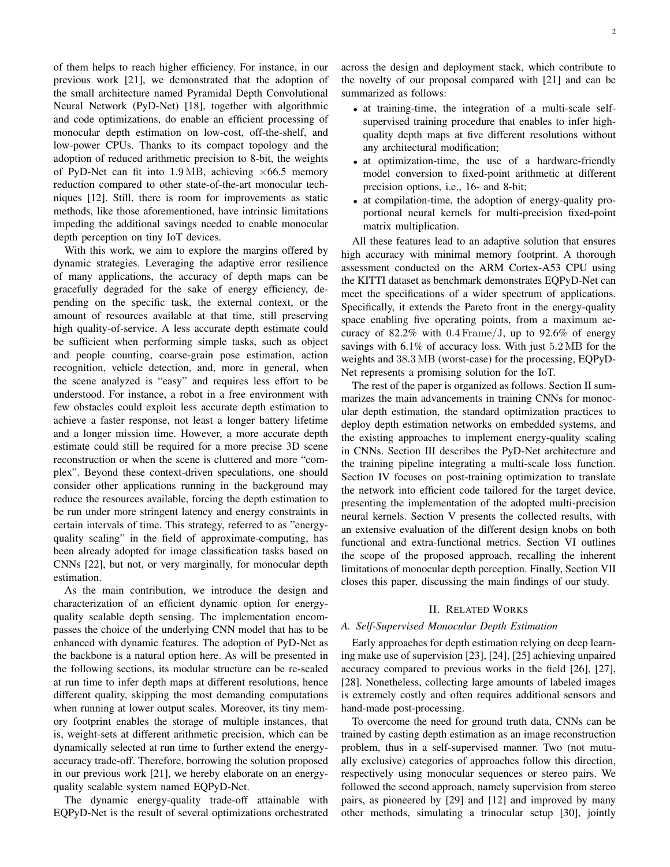of them helps to reach higher efficiency. For instance, in our previous work [21], we demonstrated that the adoption of the small architecture named Pyramidal Depth Convolutional Neural Network (PyD-Net) [18], together with algorithmic and code optimizations, do enable an efficient processing of monocular depth estimation on low-cost, off-the-shelf, and low-power CPUs. Thanks to its compact topology and the adoption of reduced arithmetic precision to 8-bit, the weights of PyD-Net can fit into 1.9 MB, achieving  $\times$  66.5 memory reduction compared to other state-of-the-art monocular techniques [12]. Still, there is room for improvements as static methods, like those aforementioned, have intrinsic limitations impeding the additional savings needed to enable monocular depth perception on tiny IoT devices.

With this work, we aim to explore the margins offered by dynamic strategies. Leveraging the adaptive error resilience of many applications, the accuracy of depth maps can be gracefully degraded for the sake of energy efficiency, depending on the specific task, the external context, or the amount of resources available at that time, still preserving high quality-of-service. A less accurate depth estimate could be sufficient when performing simple tasks, such as object and people counting, coarse-grain pose estimation, action recognition, vehicle detection, and, more in general, when the scene analyzed is "easy" and requires less effort to be understood. For instance, a robot in a free environment with few obstacles could exploit less accurate depth estimation to achieve a faster response, not least a longer battery lifetime and a longer mission time. However, a more accurate depth estimate could still be required for a more precise 3D scene reconstruction or when the scene is cluttered and more "complex". Beyond these context-driven speculations, one should consider other applications running in the background may reduce the resources available, forcing the depth estimation to be run under more stringent latency and energy constraints in certain intervals of time. This strategy, referred to as "energyquality scaling" in the field of approximate-computing, has been already adopted for image classification tasks based on CNNs [22], but not, or very marginally, for monocular depth estimation.

As the main contribution, we introduce the design and characterization of an efficient dynamic option for energyquality scalable depth sensing. The implementation encompasses the choice of the underlying CNN model that has to be enhanced with dynamic features. The adoption of PyD-Net as the backbone is a natural option here. As will be presented in the following sections, its modular structure can be re-scaled at run time to infer depth maps at different resolutions, hence different quality, skipping the most demanding computations when running at lower output scales. Moreover, its tiny memory footprint enables the storage of multiple instances, that is, weight-sets at different arithmetic precision, which can be dynamically selected at run time to further extend the energyaccuracy trade-off. Therefore, borrowing the solution proposed in our previous work [21], we hereby elaborate on an energyquality scalable system named EQPyD-Net.

The dynamic energy-quality trade-off attainable with EQPyD-Net is the result of several optimizations orchestrated across the design and deployment stack, which contribute to the novelty of our proposal compared with [21] and can be summarized as follows:

- at training-time, the integration of a multi-scale selfsupervised training procedure that enables to infer highquality depth maps at five different resolutions without any architectural modification;
- at optimization-time, the use of a hardware-friendly model conversion to fixed-point arithmetic at different precision options, i.e., 16- and 8-bit;
- at compilation-time, the adoption of energy-quality proportional neural kernels for multi-precision fixed-point matrix multiplication.

All these features lead to an adaptive solution that ensures high accuracy with minimal memory footprint. A thorough assessment conducted on the ARM Cortex-A53 CPU using the KITTI dataset as benchmark demonstrates EQPyD-Net can meet the specifications of a wider spectrum of applications. Specifically, it extends the Pareto front in the energy-quality space enabling five operating points, from a maximum accuracy of 82.2% with  $0.4$  Frame/J, up to 92.6% of energy savings with 6.1% of accuracy loss. With just 5.2 MB for the weights and 38.3 MB (worst-case) for the processing, EQPyD-Net represents a promising solution for the IoT.

The rest of the paper is organized as follows. Section II summarizes the main advancements in training CNNs for monocular depth estimation, the standard optimization practices to deploy depth estimation networks on embedded systems, and the existing approaches to implement energy-quality scaling in CNNs. Section III describes the PyD-Net architecture and the training pipeline integrating a multi-scale loss function. Section IV focuses on post-training optimization to translate the network into efficient code tailored for the target device, presenting the implementation of the adopted multi-precision neural kernels. Section V presents the collected results, with an extensive evaluation of the different design knobs on both functional and extra-functional metrics. Section VI outlines the scope of the proposed approach, recalling the inherent limitations of monocular depth perception. Finally, Section VII closes this paper, discussing the main findings of our study.

### II. RELATED WORKS

#### *A. Self-Supervised Monocular Depth Estimation*

Early approaches for depth estimation relying on deep learning make use of supervision [23], [24], [25] achieving unpaired accuracy compared to previous works in the field [26], [27], [28]. Nonetheless, collecting large amounts of labeled images is extremely costly and often requires additional sensors and hand-made post-processing.

To overcome the need for ground truth data, CNNs can be trained by casting depth estimation as an image reconstruction problem, thus in a self-supervised manner. Two (not mutually exclusive) categories of approaches follow this direction, respectively using monocular sequences or stereo pairs. We followed the second approach, namely supervision from stereo pairs, as pioneered by [29] and [12] and improved by many other methods, simulating a trinocular setup [30], jointly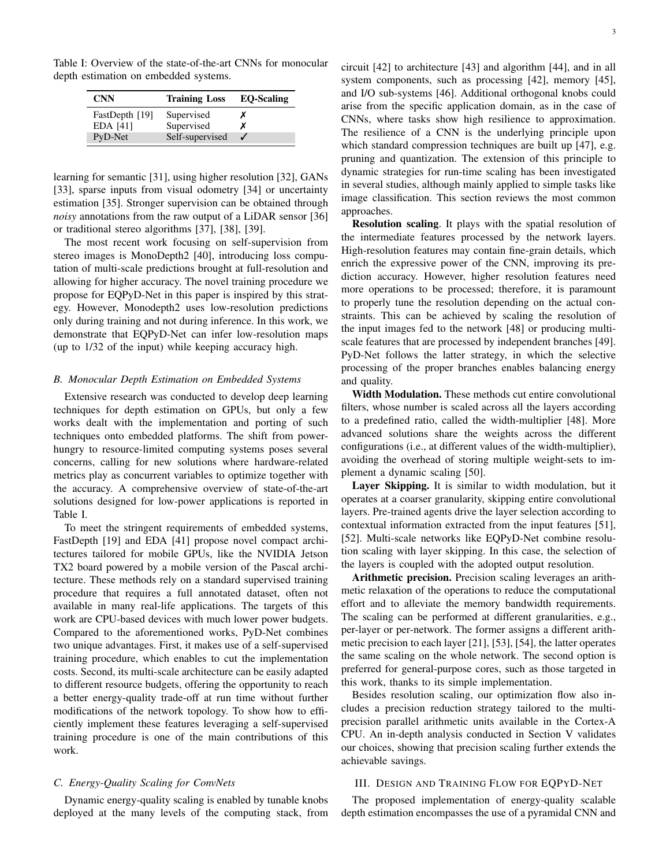Table I: Overview of the state-of-the-art CNNs for monocular depth estimation on embedded systems.

| <b>CNN</b>                 | <b>Training Loss</b>     | <b>EO-Scaling</b> |
|----------------------------|--------------------------|-------------------|
| FastDepth [19]<br>EDA [41] | Supervised<br>Supervised |                   |
| PyD-Net                    | Self-supervised          |                   |

learning for semantic [31], using higher resolution [32], GANs [33], sparse inputs from visual odometry [34] or uncertainty estimation [35]. Stronger supervision can be obtained through *noisy* annotations from the raw output of a LiDAR sensor [36] or traditional stereo algorithms [37], [38], [39].

The most recent work focusing on self-supervision from stereo images is MonoDepth2 [40], introducing loss computation of multi-scale predictions brought at full-resolution and allowing for higher accuracy. The novel training procedure we propose for EQPyD-Net in this paper is inspired by this strategy. However, Monodepth2 uses low-resolution predictions only during training and not during inference. In this work, we demonstrate that EQPyD-Net can infer low-resolution maps (up to 1/32 of the input) while keeping accuracy high.

## *B. Monocular Depth Estimation on Embedded Systems*

Extensive research was conducted to develop deep learning techniques for depth estimation on GPUs, but only a few works dealt with the implementation and porting of such techniques onto embedded platforms. The shift from powerhungry to resource-limited computing systems poses several concerns, calling for new solutions where hardware-related metrics play as concurrent variables to optimize together with the accuracy. A comprehensive overview of state-of-the-art solutions designed for low-power applications is reported in Table I.

To meet the stringent requirements of embedded systems, FastDepth [19] and EDA [41] propose novel compact architectures tailored for mobile GPUs, like the NVIDIA Jetson TX2 board powered by a mobile version of the Pascal architecture. These methods rely on a standard supervised training procedure that requires a full annotated dataset, often not available in many real-life applications. The targets of this work are CPU-based devices with much lower power budgets. Compared to the aforementioned works, PyD-Net combines two unique advantages. First, it makes use of a self-supervised training procedure, which enables to cut the implementation costs. Second, its multi-scale architecture can be easily adapted to different resource budgets, offering the opportunity to reach a better energy-quality trade-off at run time without further modifications of the network topology. To show how to efficiently implement these features leveraging a self-supervised training procedure is one of the main contributions of this work.

# *C. Energy-Quality Scaling for ConvNets*

Dynamic energy-quality scaling is enabled by tunable knobs deployed at the many levels of the computing stack, from circuit [42] to architecture [43] and algorithm [44], and in all system components, such as processing [42], memory [45], and I/O sub-systems [46]. Additional orthogonal knobs could arise from the specific application domain, as in the case of CNNs, where tasks show high resilience to approximation. The resilience of a CNN is the underlying principle upon which standard compression techniques are built up [47], e.g. pruning and quantization. The extension of this principle to dynamic strategies for run-time scaling has been investigated in several studies, although mainly applied to simple tasks like image classification. This section reviews the most common approaches.

Resolution scaling. It plays with the spatial resolution of the intermediate features processed by the network layers. High-resolution features may contain fine-grain details, which enrich the expressive power of the CNN, improving its prediction accuracy. However, higher resolution features need more operations to be processed; therefore, it is paramount to properly tune the resolution depending on the actual constraints. This can be achieved by scaling the resolution of the input images fed to the network [48] or producing multiscale features that are processed by independent branches [49]. PyD-Net follows the latter strategy, in which the selective processing of the proper branches enables balancing energy and quality.

Width Modulation. These methods cut entire convolutional filters, whose number is scaled across all the layers according to a predefined ratio, called the width-multiplier [48]. More advanced solutions share the weights across the different configurations (i.e., at different values of the width-multiplier), avoiding the overhead of storing multiple weight-sets to implement a dynamic scaling [50].

Layer Skipping. It is similar to width modulation, but it operates at a coarser granularity, skipping entire convolutional layers. Pre-trained agents drive the layer selection according to contextual information extracted from the input features [51], [52]. Multi-scale networks like EQPyD-Net combine resolution scaling with layer skipping. In this case, the selection of the layers is coupled with the adopted output resolution.

Arithmetic precision. Precision scaling leverages an arithmetic relaxation of the operations to reduce the computational effort and to alleviate the memory bandwidth requirements. The scaling can be performed at different granularities, e.g., per-layer or per-network. The former assigns a different arithmetic precision to each layer [21], [53], [54], the latter operates the same scaling on the whole network. The second option is preferred for general-purpose cores, such as those targeted in this work, thanks to its simple implementation.

Besides resolution scaling, our optimization flow also includes a precision reduction strategy tailored to the multiprecision parallel arithmetic units available in the Cortex-A CPU. An in-depth analysis conducted in Section V validates our choices, showing that precision scaling further extends the achievable savings.

# III. DESIGN AND TRAINING FLOW FOR EQPYD-NET

The proposed implementation of energy-quality scalable depth estimation encompasses the use of a pyramidal CNN and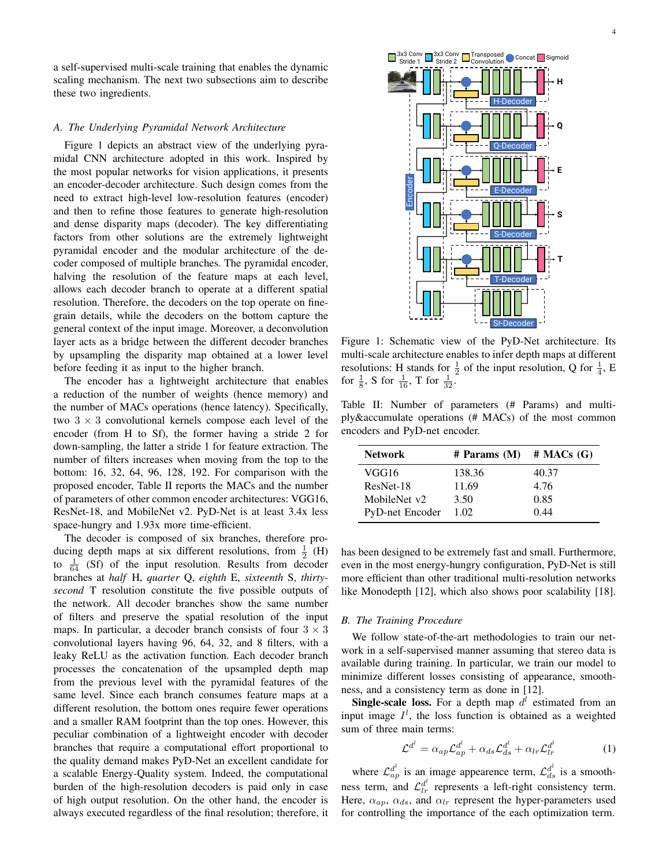a self-supervised multi-scale training that enables the dynamic scaling mechanism. The next two subsections aim to describe these two ingredients.

# *A. The Underlying Pyramidal Network Architecture*

Figure 1 depicts an abstract view of the underlying pyramidal CNN architecture adopted in this work. Inspired by the most popular networks for vision applications, it presents an encoder-decoder architecture. Such design comes from the need to extract high-level low-resolution features (encoder) and then to refine those features to generate high-resolution and dense disparity maps (decoder). The key differentiating factors from other solutions are the extremely lightweight pyramidal encoder and the modular architecture of the decoder composed of multiple branches. The pyramidal encoder, halving the resolution of the feature maps at each level, allows each decoder branch to operate at a different spatial resolution. Therefore, the decoders on the top operate on finegrain details, while the decoders on the bottom capture the general context of the input image. Moreover, a deconvolution layer acts as a bridge between the different decoder branches by upsampling the disparity map obtained at a lower level before feeding it as input to the higher branch.

The encoder has a lightweight architecture that enables a reduction of the number of weights (hence memory) and the number of MACs operations (hence latency). Specifically, two  $3 \times 3$  convolutional kernels compose each level of the encoder (from H to Sf), the former having a stride 2 for down-sampling, the latter a stride 1 for feature extraction. The number of filters increases when moving from the top to the bottom: 16, 32, 64, 96, 128, 192. For comparison with the proposed encoder, Table II reports the MACs and the number of parameters of other common encoder architectures: VGG16, ResNet-18, and MobileNet v2. PyD-Net is at least 3.4x less space-hungry and  $1.93x$  more time-efficient.

The decoder is composed of six branches, therefore producing depth maps at six different resolutions, from  $\frac{1}{2}$  (H) to  $\frac{1}{64}$  (Sf) of the input resolution. Results from decoder branches at *half* H, *quarter* Q, *eighth* E, *sixteenth* S, *thirtysecond* T resolution constitute the five possible outputs of the network. All decoder branches show the same number of filters and preserve the spatial resolution of the input maps. In particular, a decoder branch consists of four  $3 \times 3$ convolutional layers having 96, 64, 32, and 8 filters, with a leaky ReLU as the activation function. Each decoder branch processes the concatenation of the upsampled depth map from the previous level with the pyramidal features of the same level. Since each branch consumes feature maps at a different resolution, the bottom ones require fewer operations and a smaller RAM footprint than the top ones. However, this peculiar combination of a lightweight encoder with decoder branches that require a computational effort proportional to the quality demand makes PyD-Net an excellent candidate for a scalable Energy-Quality system. Indeed, the computational burden of the high-resolution decoders is paid only in case of high output resolution. On the other hand, the encoder is always executed regardless of the final resolution; therefore, it



Figure 1: Schematic view of the PyD-Net architecture. Its multi-scale architecture enables to infer depth maps at different resolutions: H stands for  $\frac{1}{2}$  of the input resolution, Q for  $\frac{1}{4}$ , E for  $\frac{1}{8}$ , S for  $\frac{1}{16}$ , T for  $\frac{1}{32}$ .

Table II: Number of parameters (# Params) and multiply&accumulate operations (# MACs) of the most common encoders and PyD-net encoder.

| <b>Network</b>         | $#$ Params $(M)$ | $#$ MACs $(G)$ |
|------------------------|------------------|----------------|
| VGG16                  | 138.36           | 40.37          |
| ResNet-18              | 11.69            | 4.76           |
| MobileNet v2           | 3.50             | 0.85           |
| <b>PyD-net Encoder</b> | 1.02             | 0.44           |

has been designed to be extremely fast and small. Furthermore, even in the most energy-hungry configuration, PyD-Net is still more efficient than other traditional multi-resolution networks like Monodepth [12], which also shows poor scalability [18].

#### *B. The Training Procedure*

We follow state-of-the-art methodologies to train our network in a self-supervised manner assuming that stereo data is available during training. In particular, we train our model to minimize different losses consisting of appearance, smoothness, and a consistency term as done in [12].

**Single-scale loss.** For a depth map  $d^l$  estimated from an input image  $I^l$ , the loss function is obtained as a weighted sum of three main terms:

$$
\mathcal{L}^{d'} = \alpha_{ap} \mathcal{L}_{ap}^{d'} + \alpha_{ds} \mathcal{L}_{ds}^{d'} + \alpha_{lr} \mathcal{L}_{lr}^{d'}
$$
 (1)

where  $\mathcal{L}_{ap}^{d^l}$  is an image appearence term,  $\mathcal{L}_{ds}^{d^l}$  is a smoothness term, and  $\mathcal{L}_{lr}^{d'}$  represents a left-right consistency term. Here,  $\alpha_{ap}$ ,  $\alpha_{ds}$ , and  $\alpha_{lr}$  represent the hyper-parameters used for controlling the importance of the each optimization term.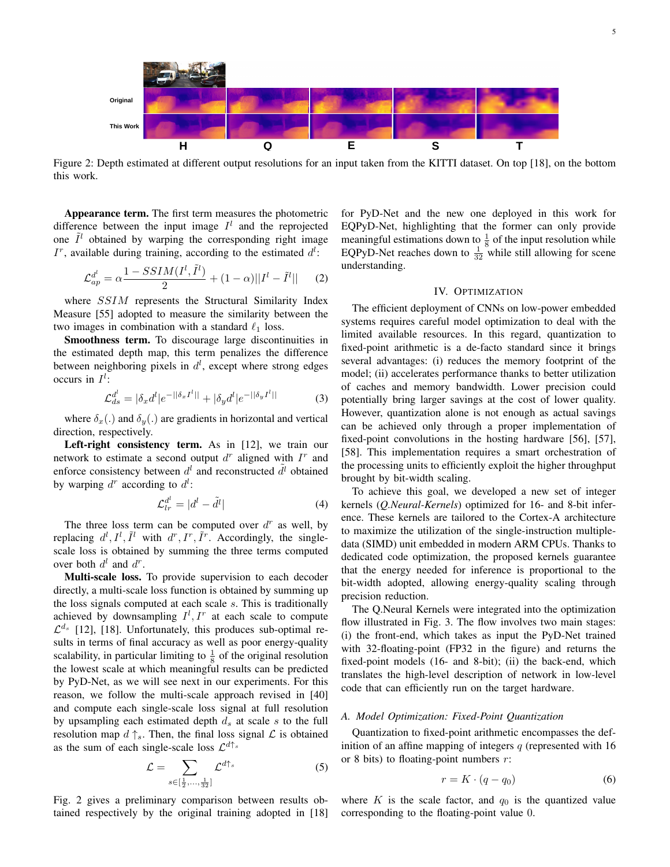

Figure 2: Depth estimated at different output resolutions for an input taken from the KITTI dataset. On top [18], on the bottom this work.

Appearance term. The first term measures the photometric difference between the input image  $I^l$  and the reprojected one  $\tilde{I}^l$  obtained by warping the corresponding right image  $I^r$ , available during training, according to the estimated  $d^l$ :

$$
\mathcal{L}_{ap}^{d^{l}} = \alpha \frac{1 - SSIM(I^{l}, \tilde{I}^{l})}{2} + (1 - \alpha)||I^{l} - \tilde{I}^{l}|| \qquad (2)
$$

where *SSIM* represents the Structural Similarity Index Measure [55] adopted to measure the similarity between the two images in combination with a standard  $\ell_1$  loss.

Smoothness term. To discourage large discontinuities in the estimated depth map, this term penalizes the difference between neighboring pixels in  $d^l$ , except where strong edges occurs in  $I^l$ :

$$
\mathcal{L}_{ds}^{d^l} = |\delta_x d^l| e^{-||\delta_x I^l||} + |\delta_y d^l| e^{-||\delta_y I^l||} \tag{3}
$$

where  $\delta_x(.)$  and  $\delta_y(.)$  are gradients in horizontal and vertical direction, respectively.

Left-right consistency term. As in [12], we train our network to estimate a second output  $d^r$  aligned with  $I^r$  and enforce consistency between  $d^l$  and reconstructed  $\tilde{d}^l$  obtained by warping  $d^r$  according to  $d^l$ :

$$
\mathcal{L}_{lr}^{d^{l}} = |d^{l} - \tilde{d}^{l}| \tag{4}
$$

The three loss term can be computed over  $d^r$  as well, by replacing  $d^l, I^l, \tilde{I}^l$  with  $d^r, I^r, \tilde{I}^r$ . Accordingly, the singlescale loss is obtained by summing the three terms computed over both  $d^l$  and  $d^r$ .

Multi-scale loss. To provide supervision to each decoder directly, a multi-scale loss function is obtained by summing up the loss signals computed at each scale s. This is traditionally achieved by downsampling  $I^l, I^r$  at each scale to compute  $\mathcal{L}^{d_s}$  [12], [18]. Unfortunately, this produces sub-optimal results in terms of final accuracy as well as poor energy-quality scalability, in particular limiting to  $\frac{1}{8}$  of the original resolution the lowest scale at which meaningful results can be predicted by PyD-Net, as we will see next in our experiments. For this reason, we follow the multi-scale approach revised in [40] and compute each single-scale loss signal at full resolution by upsampling each estimated depth  $d_s$  at scale s to the full resolution map  $d \uparrow_s$ . Then, the final loss signal  $\mathcal L$  is obtained as the sum of each single-scale loss  $\mathcal{L}^{d\uparrow_s}$ 

$$
\mathcal{L} = \sum_{s \in \left[\frac{1}{2}, \dots, \frac{1}{32}\right]} \mathcal{L}^{d\uparrow_s} \tag{5}
$$

Fig. 2 gives a preliminary comparison between results obtained respectively by the original training adopted in [18] for PyD-Net and the new one deployed in this work for EQPyD-Net, highlighting that the former can only provide meaningful estimations down to  $\frac{1}{8}$  of the input resolution while EQPyD-Net reaches down to  $\frac{1}{32}$  while still allowing for scene understanding.

# IV. OPTIMIZATION

The efficient deployment of CNNs on low-power embedded systems requires careful model optimization to deal with the limited available resources. In this regard, quantization to fixed-point arithmetic is a de-facto standard since it brings several advantages: (i) reduces the memory footprint of the model; (ii) accelerates performance thanks to better utilization of caches and memory bandwidth. Lower precision could potentially bring larger savings at the cost of lower quality. However, quantization alone is not enough as actual savings can be achieved only through a proper implementation of fixed-point convolutions in the hosting hardware [56], [57], [58]. This implementation requires a smart orchestration of the processing units to efficiently exploit the higher throughput brought by bit-width scaling.

To achieve this goal, we developed a new set of integer kernels (*Q.Neural-Kernels*) optimized for 16- and 8-bit inference. These kernels are tailored to the Cortex-A architecture to maximize the utilization of the single-instruction multipledata (SIMD) unit embedded in modern ARM CPUs. Thanks to dedicated code optimization, the proposed kernels guarantee that the energy needed for inference is proportional to the bit-width adopted, allowing energy-quality scaling through precision reduction.

The Q.Neural Kernels were integrated into the optimization flow illustrated in Fig. 3. The flow involves two main stages: (i) the front-end, which takes as input the PyD-Net trained with 32-floating-point (FP32 in the figure) and returns the fixed-point models (16- and 8-bit); (ii) the back-end, which translates the high-level description of network in low-level code that can efficiently run on the target hardware.

## *A. Model Optimization: Fixed-Point Quantization*

Quantization to fixed-point arithmetic encompasses the definition of an affine mapping of integers  $q$  (represented with 16 or 8 bits) to floating-point numbers  $r$ :

$$
r = K \cdot (q - q_0) \tag{6}
$$

where  $K$  is the scale factor, and  $q_0$  is the quantized value corresponding to the floating-point value 0.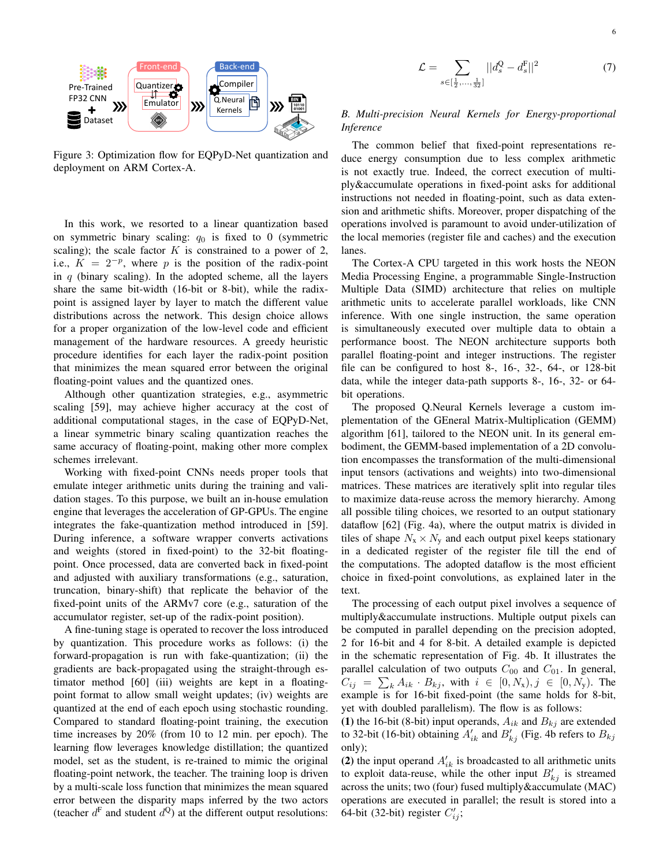

Figure 3: Optimization flow for EQPyD-Net quantization and deployment on ARM Cortex-A.

In this work, we resorted to a linear quantization based on symmetric binary scaling:  $q_0$  is fixed to 0 (symmetric scaling); the scale factor  $K$  is constrained to a power of 2, i.e.,  $K = 2^{-p}$ , where p is the position of the radix-point in  $q$  (binary scaling). In the adopted scheme, all the layers share the same bit-width (16-bit or 8-bit), while the radixpoint is assigned layer by layer to match the different value distributions across the network. This design choice allows for a proper organization of the low-level code and efficient management of the hardware resources. A greedy heuristic procedure identifies for each layer the radix-point position that minimizes the mean squared error between the original floating-point values and the quantized ones.

Although other quantization strategies, e.g., asymmetric scaling [59], may achieve higher accuracy at the cost of additional computational stages, in the case of EQPyD-Net, a linear symmetric binary scaling quantization reaches the same accuracy of floating-point, making other more complex schemes irrelevant.

Working with fixed-point CNNs needs proper tools that emulate integer arithmetic units during the training and validation stages. To this purpose, we built an in-house emulation engine that leverages the acceleration of GP-GPUs. The engine integrates the fake-quantization method introduced in [59]. During inference, a software wrapper converts activations and weights (stored in fixed-point) to the 32-bit floatingpoint. Once processed, data are converted back in fixed-point and adjusted with auxiliary transformations (e.g., saturation, truncation, binary-shift) that replicate the behavior of the fixed-point units of the ARMv7 core (e.g., saturation of the accumulator register, set-up of the radix-point position).

A fine-tuning stage is operated to recover the loss introduced by quantization. This procedure works as follows: (i) the forward-propagation is run with fake-quantization; (ii) the gradients are back-propagated using the straight-through estimator method [60] (iii) weights are kept in a floatingpoint format to allow small weight updates; (iv) weights are quantized at the end of each epoch using stochastic rounding. Compared to standard floating-point training, the execution time increases by 20% (from 10 to 12 min. per epoch). The learning flow leverages knowledge distillation; the quantized model, set as the student, is re-trained to mimic the original floating-point network, the teacher. The training loop is driven by a multi-scale loss function that minimizes the mean squared error between the disparity maps inferred by the two actors (teacher  $d^F$  and student  $d^Q$ ) at the different output resolutions:

$$
\mathcal{L} = \sum_{s \in \left[\frac{1}{2}, \dots, \frac{1}{32}\right]} |d_s^{\mathcal{Q}} - d_s^{\mathcal{F}}||^2 \tag{7}
$$

# *B. Multi-precision Neural Kernels for Energy-proportional Inference*

The common belief that fixed-point representations reduce energy consumption due to less complex arithmetic is not exactly true. Indeed, the correct execution of multiply&accumulate operations in fixed-point asks for additional instructions not needed in floating-point, such as data extension and arithmetic shifts. Moreover, proper dispatching of the operations involved is paramount to avoid under-utilization of the local memories (register file and caches) and the execution lanes.

The Cortex-A CPU targeted in this work hosts the NEON Media Processing Engine, a programmable Single-Instruction Multiple Data (SIMD) architecture that relies on multiple arithmetic units to accelerate parallel workloads, like CNN inference. With one single instruction, the same operation is simultaneously executed over multiple data to obtain a performance boost. The NEON architecture supports both parallel floating-point and integer instructions. The register file can be configured to host 8-, 16-, 32-, 64-, or 128-bit data, while the integer data-path supports 8-, 16-, 32- or 64 bit operations.

The proposed Q.Neural Kernels leverage a custom implementation of the GEneral Matrix-Multiplication (GEMM) algorithm [61], tailored to the NEON unit. In its general embodiment, the GEMM-based implementation of a 2D convolution encompasses the transformation of the multi-dimensional input tensors (activations and weights) into two-dimensional matrices. These matrices are iteratively split into regular tiles to maximize data-reuse across the memory hierarchy. Among all possible tiling choices, we resorted to an output stationary dataflow [62] (Fig. 4a), where the output matrix is divided in tiles of shape  $N_x \times N_y$  and each output pixel keeps stationary in a dedicated register of the register file till the end of the computations. The adopted dataflow is the most efficient choice in fixed-point convolutions, as explained later in the text.

The processing of each output pixel involves a sequence of multiply&accumulate instructions. Multiple output pixels can be computed in parallel depending on the precision adopted, 2 for 16-bit and 4 for 8-bit. A detailed example is depicted in the schematic representation of Fig. 4b. It illustrates the parallel calculation of two outputs  $C_{00}$  and  $C_{01}$ . In general,  $C_{ij} = \sum_{k} A_{ik} \cdot B_{kj}$ , with  $i \in [0, N_{x}), j \in [0, N_{y})$ . The example is for 16-bit fixed-point (the same holds for 8-bit, yet with doubled parallelism). The flow is as follows:

(1) the 16-bit (8-bit) input operands,  $A_{ik}$  and  $B_{kj}$  are extended to 32-bit (16-bit) obtaining  $A'_{ik}$  and  $B'_{kj}$  (Fig. 4b refers to  $B_{kj}$ only);

(2) the input operand  $A'_{ik}$  is broadcasted to all arithmetic units to exploit data-reuse, while the other input  $B'_{kj}$  is streamed across the units; two (four) fused multiply&accumulate (MAC) operations are executed in parallel; the result is stored into a 64-bit (32-bit) register  $C'_{ij}$ ;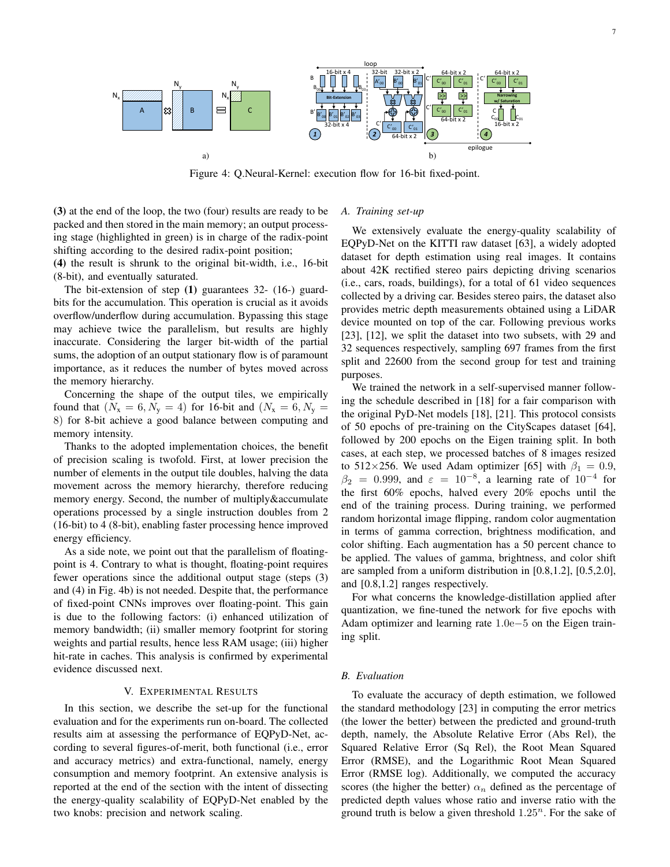

Figure 4: Q.Neural-Kernel: execution flow for 16-bit fixed-point.

(3) at the end of the loop, the two (four) results are ready to be packed and then stored in the main memory; an output processing stage (highlighted in green) is in charge of the radix-point shifting according to the desired radix-point position;

(4) the result is shrunk to the original bit-width, i.e., 16-bit (8-bit), and eventually saturated.

The bit-extension of step (1) guarantees 32- (16-) guardbits for the accumulation. This operation is crucial as it avoids overflow/underflow during accumulation. Bypassing this stage may achieve twice the parallelism, but results are highly inaccurate. Considering the larger bit-width of the partial sums, the adoption of an output stationary flow is of paramount importance, as it reduces the number of bytes moved across the memory hierarchy.

Concerning the shape of the output tiles, we empirically found that  $(N_x = 6, N_y = 4)$  for 16-bit and  $(N_x = 6, N_y = 4)$ 8) for 8-bit achieve a good balance between computing and memory intensity.

Thanks to the adopted implementation choices, the benefit of precision scaling is twofold. First, at lower precision the number of elements in the output tile doubles, halving the data movement across the memory hierarchy, therefore reducing memory energy. Second, the number of multiply&accumulate operations processed by a single instruction doubles from 2 (16-bit) to 4 (8-bit), enabling faster processing hence improved energy efficiency.

As a side note, we point out that the parallelism of floatingpoint is 4. Contrary to what is thought, floating-point requires fewer operations since the additional output stage (steps (3) and (4) in Fig. 4b) is not needed. Despite that, the performance of fixed-point CNNs improves over floating-point. This gain is due to the following factors: (i) enhanced utilization of memory bandwidth; (ii) smaller memory footprint for storing weights and partial results, hence less RAM usage; (iii) higher hit-rate in caches. This analysis is confirmed by experimental evidence discussed next.

### V. EXPERIMENTAL RESULTS

In this section, we describe the set-up for the functional evaluation and for the experiments run on-board. The collected results aim at assessing the performance of EQPyD-Net, according to several figures-of-merit, both functional (i.e., error and accuracy metrics) and extra-functional, namely, energy consumption and memory footprint. An extensive analysis is reported at the end of the section with the intent of dissecting the energy-quality scalability of EQPyD-Net enabled by the two knobs: precision and network scaling.

### *A. Training set-up*

We extensively evaluate the energy-quality scalability of EQPyD-Net on the KITTI raw dataset [63], a widely adopted dataset for depth estimation using real images. It contains about 42K rectified stereo pairs depicting driving scenarios (i.e., cars, roads, buildings), for a total of 61 video sequences collected by a driving car. Besides stereo pairs, the dataset also provides metric depth measurements obtained using a LiDAR device mounted on top of the car. Following previous works [23], [12], we split the dataset into two subsets, with 29 and 32 sequences respectively, sampling 697 frames from the first split and 22600 from the second group for test and training purposes.

We trained the network in a self-supervised manner following the schedule described in [18] for a fair comparison with the original PyD-Net models [18], [21]. This protocol consists of 50 epochs of pre-training on the CityScapes dataset [64], followed by 200 epochs on the Eigen training split. In both cases, at each step, we processed batches of 8 images resized to 512×256. We used Adam optimizer [65] with  $\beta_1 = 0.9$ ,  $\beta_2 = 0.999$ , and  $\varepsilon = 10^{-8}$ , a learning rate of  $10^{-4}$  for the first 60% epochs, halved every 20% epochs until the end of the training process. During training, we performed random horizontal image flipping, random color augmentation in terms of gamma correction, brightness modification, and color shifting. Each augmentation has a 50 percent chance to be applied. The values of gamma, brightness, and color shift are sampled from a uniform distribution in [0.8,1.2], [0.5,2.0], and [0.8,1.2] ranges respectively.

For what concerns the knowledge-distillation applied after quantization, we fine-tuned the network for five epochs with Adam optimizer and learning rate 1.0e−5 on the Eigen training split.

#### *B. Evaluation*

To evaluate the accuracy of depth estimation, we followed the standard methodology [23] in computing the error metrics (the lower the better) between the predicted and ground-truth depth, namely, the Absolute Relative Error (Abs Rel), the Squared Relative Error (Sq Rel), the Root Mean Squared Error (RMSE), and the Logarithmic Root Mean Squared Error (RMSE log). Additionally, we computed the accuracy scores (the higher the better)  $\alpha_n$  defined as the percentage of predicted depth values whose ratio and inverse ratio with the ground truth is below a given threshold  $1.25^n$ . For the sake of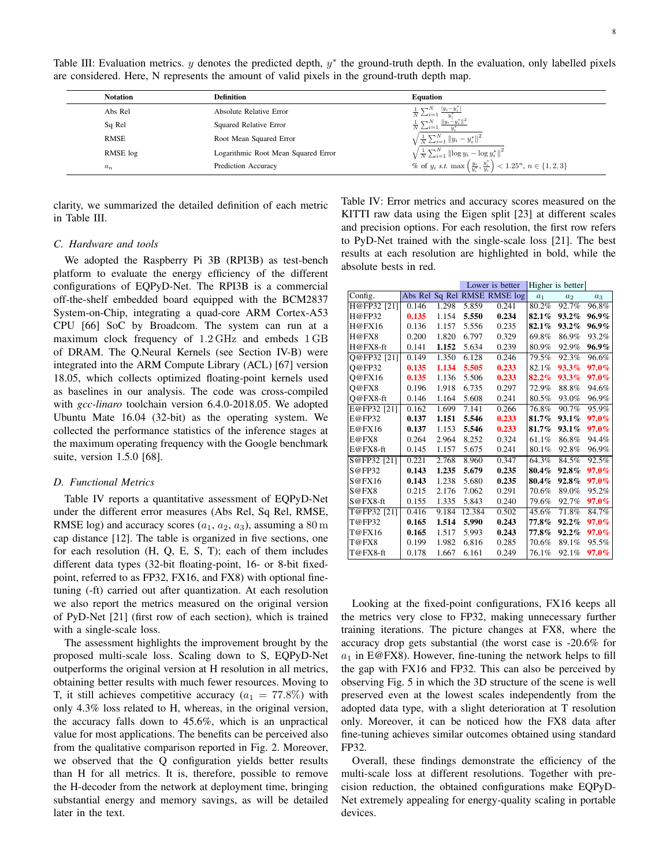Table III: Evaluation metrics.  $y$  denotes the predicted depth,  $y^*$  the ground-truth depth. In the evaluation, only labelled pixels are considered. Here, N represents the amount of valid pixels in the ground-truth depth map.

| <b>Notation</b> | <b>Definition</b>                   | <b>Equation</b>                                                                                                                                                                                                                                                  |
|-----------------|-------------------------------------|------------------------------------------------------------------------------------------------------------------------------------------------------------------------------------------------------------------------------------------------------------------|
| Abs Rel         | Absolute Relative Error             |                                                                                                                                                                                                                                                                  |
| Sq Rel          | Squared Relative Error              | $\frac{1}{N}\frac{\sum_{i=1}^{N}\frac{ y_i-y_i^* }{y_i^*}}{\sum_{i=1}^{N}\frac{\ y_i-y_i^*\ ^2}{y_i^*}}$                                                                                                                                                         |
| <b>RMSE</b>     | Root Mean Squared Error             | $\sqrt{\frac{1}{N}\sum_{i=1}^{N}   y_i - y_i^*  ^2}$                                                                                                                                                                                                             |
| RMSE log        | Logarithmic Root Mean Squared Error | $\begin{array}{l} \sqrt{\frac{1}{N}\sum_{i=1}^{N} \left\ \log y_{i}-\log y_{i}^{*}\right\ ^{2}} \\ \% \text { of } y_{i} \text { s.t. } \max\left(\frac{y_{i}}{y_{i}^{*}}, \frac{y_{i}^{*}}{y_{i}}\right) < 1.25^{n}, \, n \in \left\{1,2,3\right\} \end{array}$ |
| $a_n$           | Prediction Accuracy                 |                                                                                                                                                                                                                                                                  |

clarity, we summarized the detailed definition of each metric in Table III.

#### *C. Hardware and tools*

We adopted the Raspberry Pi 3B (RPI3B) as test-bench platform to evaluate the energy efficiency of the different configurations of EQPyD-Net. The RPI3B is a commercial off-the-shelf embedded board equipped with the BCM2837 System-on-Chip, integrating a quad-core ARM Cortex-A53 CPU [66] SoC by Broadcom. The system can run at a maximum clock frequency of 1.2 GHz and embeds 1 GB of DRAM. The Q.Neural Kernels (see Section IV-B) were integrated into the ARM Compute Library (ACL) [67] version 18.05, which collects optimized floating-point kernels used as baselines in our analysis. The code was cross-compiled with *gcc-linaro* toolchain version 6.4.0-2018.05. We adopted Ubuntu Mate 16.04 (32-bit) as the operating system. We collected the performance statistics of the inference stages at the maximum operating frequency with the Google benchmark suite, version 1.5.0 [68].

## *D. Functional Metrics*

Table IV reports a quantitative assessment of EQPyD-Net under the different error measures (Abs Rel, Sq Rel, RMSE, RMSE log) and accuracy scores  $(a_1, a_2, a_3)$ , assuming a 80 m cap distance [12]. The table is organized in five sections, one for each resolution (H, Q, E, S, T); each of them includes different data types (32-bit floating-point, 16- or 8-bit fixedpoint, referred to as FP32, FX16, and FX8) with optional finetuning (-ft) carried out after quantization. At each resolution we also report the metrics measured on the original version of PyD-Net [21] (first row of each section), which is trained with a single-scale loss.

The assessment highlights the improvement brought by the proposed multi-scale loss. Scaling down to S, EQPyD-Net outperforms the original version at H resolution in all metrics, obtaining better results with much fewer resources. Moving to T, it still achieves competitive accuracy  $(a_1 = 77.8\%)$  with only 4.3% loss related to H, whereas, in the original version, the accuracy falls down to 45.6%, which is an unpractical value for most applications. The benefits can be perceived also from the qualitative comparison reported in Fig. 2. Moreover, we observed that the Q configuration yields better results than H for all metrics. It is, therefore, possible to remove the H-decoder from the network at deployment time, bringing substantial energy and memory savings, as will be detailed later in the text.

Table IV: Error metrics and accuracy scores measured on the KITTI raw data using the Eigen split [23] at different scales and precision options. For each resolution, the first row refers to PyD-Net trained with the single-scale loss [21]. The best results at each resolution are highlighted in bold, while the absolute bests in red.

|             |       |       | Lower is better |                              | Higher is better |                |       |
|-------------|-------|-------|-----------------|------------------------------|------------------|----------------|-------|
| Config.     |       |       |                 | Abs Rel Sq Rel RMSE RMSE log | a <sub>1</sub>   | a <sub>2</sub> | $a_3$ |
| H@FP32 [21] | 0.146 | 1.298 | 5.859           | 0.241                        | 80.2%            | 92.7%          | 96.8% |
| H@FP32      | 0.135 | 1.154 | 5.550           | 0.234                        | 82.1%            | 93.2%          | 96.9% |
| H@FX16      | 0.136 | 1.157 | 5.556           | 0.235                        | 82.1%            | 93.2%          | 96.9% |
| H@FX8       | 0.200 | 1.820 | 6.797           | 0.329                        | 69.8%            | 86.9%          | 93.2% |
| H@FX8-ft    | 0.141 | 1.152 | 5.634           | 0.239                        | $80.9\%$         | 92.9%          | 96.9% |
| O@FP32 [21] | 0.149 | 1.350 | 6.128           | 0.246                        | 79.5%            | 92.3%          | 96.6% |
| O@FP32      | 0.135 | 1.134 | 5.505           | 0.233                        | 82.1%            | 93.3%          | 97.0% |
| O@FX16      | 0.135 | 1.136 | 5.506           | 0.233                        | 82.2%            | 93.3%          | 97.0% |
| O@FX8       | 0.196 | 1.918 | 6.735           | 0.297                        | 72.9%            | 88.8%          | 94.6% |
| O@FX8-ft    | 0.146 | 1.164 | 5.608           | 0.241                        | 80.5%            | 93.0%          | 96.9% |
| E@FP32 [21] | 0.162 | 1.699 | 7.141           | 0.266                        | 76.8%            | 90.7%          | 95.9% |
| E@FP32      | 0.137 | 1.151 | 5.546           | 0.233                        | 81.7%            | 93.1%          | 97.0% |
| E@FX16      | 0.137 | 1.153 | 5.546           | 0.233                        | 81.7%            | 93.1%          | 97.0% |
| E@FX8       | 0.264 | 2.964 | 8.252           | 0.324                        | 61.1%            | 86.8%          | 94.4% |
| E@FX8-ft    | 0.145 | 1.157 | 5.675           | 0.241                        | 80.1%            | 92.8%          | 96.9% |
| S@FP32 [21] | 0.221 | 2.768 | 8.960           | 0.347                        | 64.3%            | 84.5%          | 92.5% |
| S@FP32      | 0.143 | 1.235 | 5.679           | 0.235                        | 80.4%            | 92.8%          | 97.0% |
| S@FX16      | 0.143 | 1.238 | 5.680           | 0.235                        | 80.4%            | 92.8%          | 97.0% |
| S@FX8       | 0.215 | 2.176 | 7.062           | 0.291                        | 70.6%            | 89.0%          | 95.2% |
| S@FX8-ft    | 0.155 | 1.335 | 5.843           | 0.240                        | 79.6%            | 92.7%          | 97.0% |
| T@FP32 [21] | 0.416 | 9.184 | 12.384          | 0.502                        | 45.6%            | 71.8%          | 84.7% |
| T@FP32      | 0.165 | 1.514 | 5.990           | 0.243                        | 77.8%            | $92.2\%$       | 97.0% |
| T@FX16      | 0.165 | 1.517 | 5.993           | 0.243                        | 77.8%            | $92.2\%$       | 97.0% |
| T@FX8       | 0.199 | 1.982 | 6.816           | 0.285                        | 70.6%            | 89.1%          | 95.5% |
| T@FX8-ft    | 0.178 | 1.667 | 6.161           | 0.249                        | 76.1%            | 92.1%          | 97.0% |

Looking at the fixed-point configurations, FX16 keeps all the metrics very close to FP32, making unnecessary further training iterations. The picture changes at FX8, where the accuracy drop gets substantial (the worst case is -20.6% for  $a_1$  in E@FX8). However, fine-tuning the network helps to fill the gap with FX16 and FP32. This can also be perceived by observing Fig. 5 in which the 3D structure of the scene is well preserved even at the lowest scales independently from the adopted data type, with a slight deterioration at T resolution only. Moreover, it can be noticed how the FX8 data after fine-tuning achieves similar outcomes obtained using standard FP32.

Overall, these findings demonstrate the efficiency of the multi-scale loss at different resolutions. Together with precision reduction, the obtained configurations make EQPyD-Net extremely appealing for energy-quality scaling in portable devices.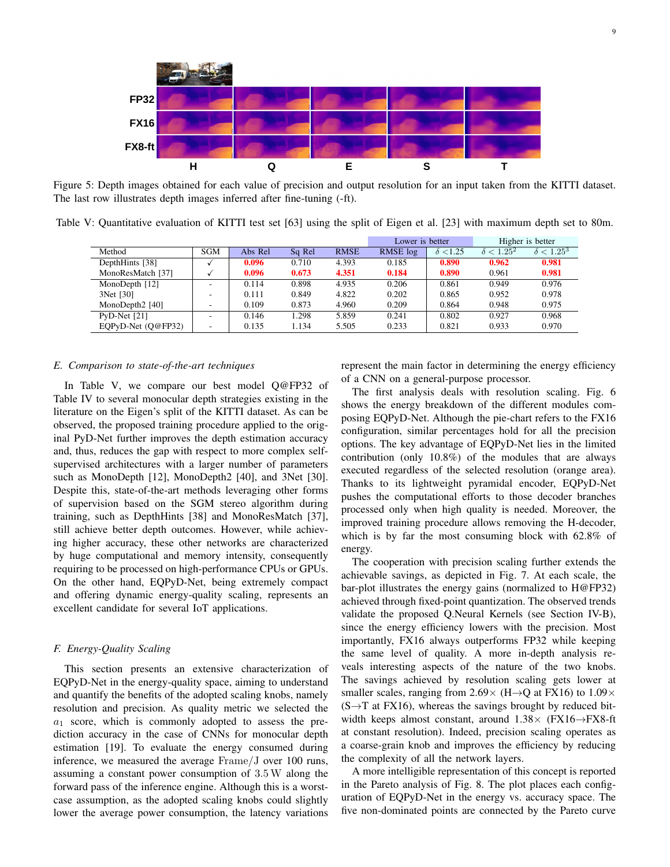

Figure 5: Depth images obtained for each value of precision and output resolution for an input taken from the KITTI dataset. The last row illustrates depth images inferred after fine-tuning (-ft).

Table V: Quantitative evaluation of KITTI test set [63] using the split of Eigen et al. [23] with maximum depth set to 80m.

|                    |                          |         |        |             | Lower is better |                | Higher is better  |                   |
|--------------------|--------------------------|---------|--------|-------------|-----------------|----------------|-------------------|-------------------|
| Method             | <b>SGM</b>               | Abs Rel | Sq Rel | <b>RMSE</b> | RMSE log        | $\delta$ <1.25 | $\delta < 1.25^2$ | $\delta < 1.25^3$ |
| DepthHints [38]    |                          | 0.096   | 0.710  | 4.393       | 0.185           | 0.890          | 0.962             | 0.981             |
| MonoResMatch [37]  |                          | 0.096   | 0.673  | 4.351       | 0.184           | 0.890          | 0.961             | 0.981             |
| MonoDepth $[12]$   | $\overline{\phantom{a}}$ | 0.114   | 0.898  | 4.935       | 0.206           | 0.861          | 0.949             | 0.976             |
| 3Net [30]          | $\overline{\phantom{a}}$ | 0.111   | 0.849  | 4.822       | 0.202           | 0.865          | 0.952             | 0.978             |
| MonoDepth2 [40]    | $\overline{\phantom{a}}$ | 0.109   | 0.873  | 4.960       | 0.209           | 0.864          | 0.948             | 0.975             |
| $PvD-Net$ [21]     | $\overline{\phantom{a}}$ | 0.146   | 1.298  | 5.859       | 0.241           | 0.802          | 0.927             | 0.968             |
| EOPyD-Net (O@FP32) | $\overline{\phantom{a}}$ | 0.135   | 1.134  | 5.505       | 0.233           | 0.821          | 0.933             | 0.970             |

## *E. Comparison to state-of-the-art techniques*

In Table V, we compare our best model Q@FP32 of Table IV to several monocular depth strategies existing in the literature on the Eigen's split of the KITTI dataset. As can be observed, the proposed training procedure applied to the original PyD-Net further improves the depth estimation accuracy and, thus, reduces the gap with respect to more complex selfsupervised architectures with a larger number of parameters such as MonoDepth [12], MonoDepth2 [40], and 3Net [30]. Despite this, state-of-the-art methods leveraging other forms of supervision based on the SGM stereo algorithm during training, such as DepthHints [38] and MonoResMatch [37], still achieve better depth outcomes. However, while achieving higher accuracy, these other networks are characterized by huge computational and memory intensity, consequently requiring to be processed on high-performance CPUs or GPUs. On the other hand, EQPyD-Net, being extremely compact and offering dynamic energy-quality scaling, represents an excellent candidate for several IoT applications.

# *F. Energy-Quality Scaling*

This section presents an extensive characterization of EQPyD-Net in the energy-quality space, aiming to understand and quantify the benefits of the adopted scaling knobs, namely resolution and precision. As quality metric we selected the  $a_1$  score, which is commonly adopted to assess the prediction accuracy in the case of CNNs for monocular depth estimation [19]. To evaluate the energy consumed during inference, we measured the average Frame/J over 100 runs, assuming a constant power consumption of 3.5W along the forward pass of the inference engine. Although this is a worstcase assumption, as the adopted scaling knobs could slightly lower the average power consumption, the latency variations represent the main factor in determining the energy efficiency of a CNN on a general-purpose processor.

The first analysis deals with resolution scaling. Fig. 6 shows the energy breakdown of the different modules composing EQPyD-Net. Although the pie-chart refers to the FX16 configuration, similar percentages hold for all the precision options. The key advantage of EQPyD-Net lies in the limited contribution (only 10.8%) of the modules that are always executed regardless of the selected resolution (orange area). Thanks to its lightweight pyramidal encoder, EQPyD-Net pushes the computational efforts to those decoder branches processed only when high quality is needed. Moreover, the improved training procedure allows removing the H-decoder, which is by far the most consuming block with 62.8% of energy.

The cooperation with precision scaling further extends the achievable savings, as depicted in Fig. 7. At each scale, the bar-plot illustrates the energy gains (normalized to H@FP32) achieved through fixed-point quantization. The observed trends validate the proposed Q.Neural Kernels (see Section IV-B), since the energy efficiency lowers with the precision. Most importantly, FX16 always outperforms FP32 while keeping the same level of quality. A more in-depth analysis reveals interesting aspects of the nature of the two knobs. The savings achieved by resolution scaling gets lower at smaller scales, ranging from 2.69 $\times$  (H $\rightarrow$ Q at FX16) to 1.09 $\times$  $(S \rightarrow T$  at FX16), whereas the savings brought by reduced bitwidth keeps almost constant, around  $1.38\times$  (FX16 $\rightarrow$ FX8-ft at constant resolution). Indeed, precision scaling operates as a coarse-grain knob and improves the efficiency by reducing the complexity of all the network layers.

A more intelligible representation of this concept is reported in the Pareto analysis of Fig. 8. The plot places each configuration of EQPyD-Net in the energy vs. accuracy space. The five non-dominated points are connected by the Pareto curve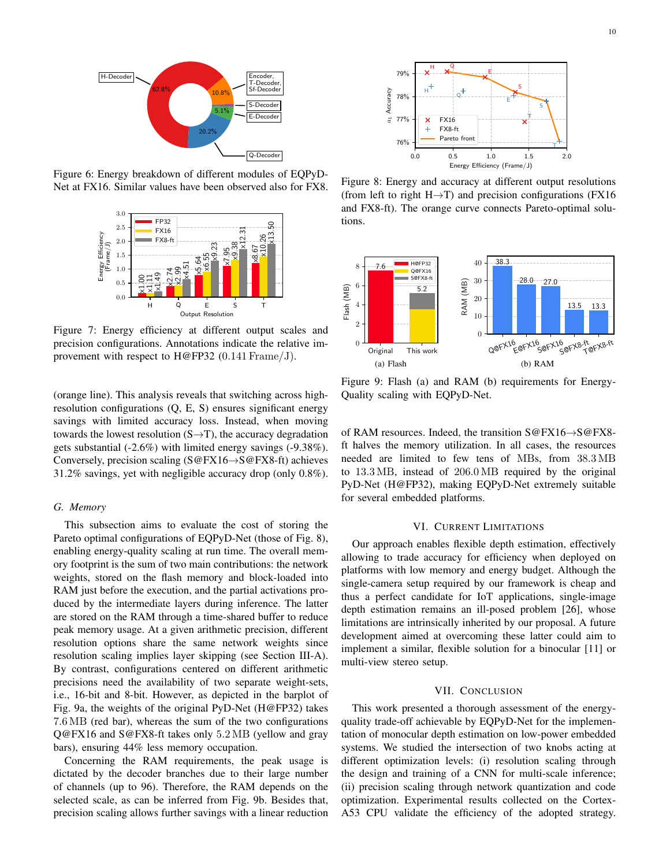

Figure 6: Energy breakdown of different modules of EQPyD-Net at FX16. Similar values have been observed also for FX8.



Figure 7: Energy efficiency at different output scales and precision configurations. Annotations indicate the relative improvement with respect to H@FP32 (0.141 Frame/J).

(orange line). This analysis reveals that switching across highresolution configurations (Q, E, S) ensures significant energy savings with limited accuracy loss. Instead, when moving towards the lowest resolution  $(S \rightarrow T)$ , the accuracy degradation gets substantial (-2.6%) with limited energy savings (-9.38%). Conversely, precision scaling (S@FX16→S@FX8-ft) achieves 31.2% savings, yet with negligible accuracy drop (only 0.8%).

#### *G. Memory*

This subsection aims to evaluate the cost of storing the Pareto optimal configurations of EQPyD-Net (those of Fig. 8), enabling energy-quality scaling at run time. The overall memory footprint is the sum of two main contributions: the network weights, stored on the flash memory and block-loaded into RAM just before the execution, and the partial activations produced by the intermediate layers during inference. The latter are stored on the RAM through a time-shared buffer to reduce peak memory usage. At a given arithmetic precision, different resolution options share the same network weights since resolution scaling implies layer skipping (see Section III-A). By contrast, configurations centered on different arithmetic precisions need the availability of two separate weight-sets, i.e., 16-bit and 8-bit. However, as depicted in the barplot of Fig. 9a, the weights of the original PyD-Net (H@FP32) takes 7.6 MB (red bar), whereas the sum of the two configurations Q@FX16 and S@FX8-ft takes only 5.2 MB (yellow and gray bars), ensuring 44% less memory occupation.

Concerning the RAM requirements, the peak usage is dictated by the decoder branches due to their large number of channels (up to 96). Therefore, the RAM depends on the selected scale, as can be inferred from Fig. 9b. Besides that, precision scaling allows further savings with a linear reduction



Figure 8: Energy and accuracy at different output resolutions (from left to right H $\rightarrow$ T) and precision configurations (FX16 and FX8-ft). The orange curve connects Pareto-optimal solutions.



Figure 9: Flash (a) and RAM (b) requirements for Energy-Quality scaling with EQPyD-Net.

of RAM resources. Indeed, the transition S@FX16→S@FX8 ft halves the memory utilization. In all cases, the resources needed are limited to few tens of MBs, from 38.3 MB to 13.3 MB, instead of 206.0 MB required by the original PyD-Net (H@FP32), making EQPyD-Net extremely suitable for several embedded platforms.

### VI. CURRENT LIMITATIONS

Our approach enables flexible depth estimation, effectively allowing to trade accuracy for efficiency when deployed on platforms with low memory and energy budget. Although the single-camera setup required by our framework is cheap and thus a perfect candidate for IoT applications, single-image depth estimation remains an ill-posed problem [26], whose limitations are intrinsically inherited by our proposal. A future development aimed at overcoming these latter could aim to implement a similar, flexible solution for a binocular [11] or multi-view stereo setup.

### VII. CONCLUSION

This work presented a thorough assessment of the energyquality trade-off achievable by EQPyD-Net for the implementation of monocular depth estimation on low-power embedded systems. We studied the intersection of two knobs acting at different optimization levels: (i) resolution scaling through the design and training of a CNN for multi-scale inference; (ii) precision scaling through network quantization and code optimization. Experimental results collected on the Cortex-A53 CPU validate the efficiency of the adopted strategy.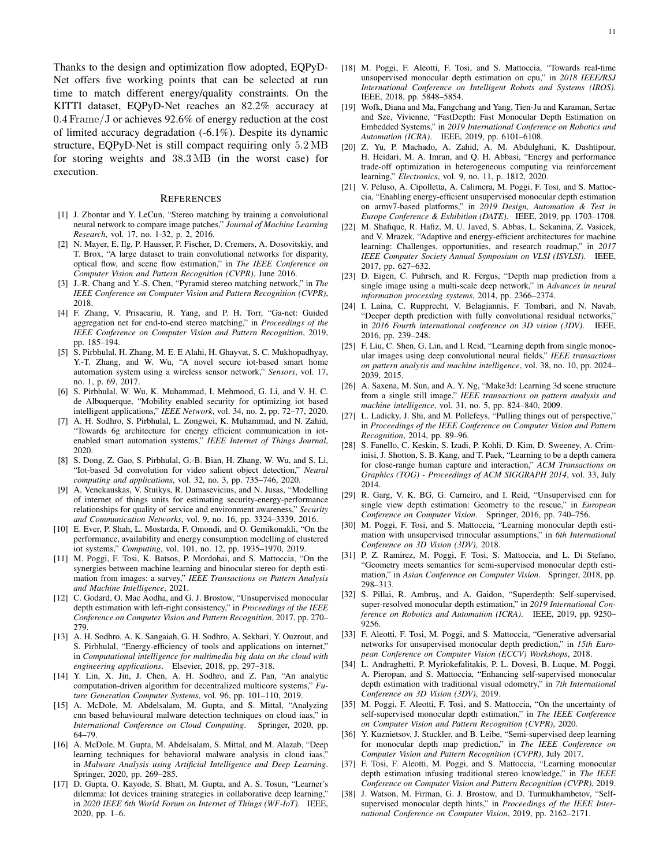Thanks to the design and optimization flow adopted, EQPyD-Net offers five working points that can be selected at run time to match different energy/quality constraints. On the KITTI dataset, EQPyD-Net reaches an 82.2% accuracy at 0.4 Frame/J or achieves 92.6% of energy reduction at the cost of limited accuracy degradation (-6.1%). Despite its dynamic structure, EQPyD-Net is still compact requiring only 5.2 MB for storing weights and 38.3 MB (in the worst case) for execution.

#### REFERENCES

- [1] J. Zbontar and Y. LeCun, "Stereo matching by training a convolutional neural network to compare image patches," *Journal of Machine Learning Research*, vol. 17, no. 1-32, p. 2, 2016.
- [2] N. Mayer, E. Ilg, P. Hausser, P. Fischer, D. Cremers, A. Dosovitskiy, and T. Brox, "A large dataset to train convolutional networks for disparity, optical flow, and scene flow estimation," in *The IEEE Conference on Computer Vision and Pattern Recognition (CVPR)*, June 2016.
- [3] J.-R. Chang and Y.-S. Chen, "Pyramid stereo matching network," in *The IEEE Conference on Computer Vision and Pattern Recognition (CVPR)*, 2018.
- [4] F. Zhang, V. Prisacariu, R. Yang, and P. H. Torr, "Ga-net: Guided aggregation net for end-to-end stereo matching," in *Proceedings of the IEEE Conference on Computer Vision and Pattern Recognition*, 2019, pp. 185–194.
- [5] S. Pirbhulal, H. Zhang, M. E. E Alahi, H. Ghayvat, S. C. Mukhopadhyay, Y.-T. Zhang, and W. Wu, "A novel secure iot-based smart home automation system using a wireless sensor network," *Sensors*, vol. 17, no. 1, p. 69, 2017.
- [6] S. Pirbhulal, W. Wu, K. Muhammad, I. Mehmood, G. Li, and V. H. C. de Albuquerque, "Mobility enabled security for optimizing iot based intelligent applications," *IEEE Network*, vol. 34, no. 2, pp. 72–77, 2020.
- [7] A. H. Sodhro, S. Pirbhulal, L. Zongwei, K. Muhammad, and N. Zahid, "Towards 6g architecture for energy efficient communication in iotenabled smart automation systems," *IEEE Internet of Things Journal*, 2020.
- [8] S. Dong, Z. Gao, S. Pirbhulal, G.-B. Bian, H. Zhang, W. Wu, and S. Li, "Iot-based 3d convolution for video salient object detection," *Neural computing and applications*, vol. 32, no. 3, pp. 735–746, 2020.
- [9] A. Venckauskas, V. Stuikys, R. Damasevicius, and N. Jusas, "Modelling of internet of things units for estimating security-energy-performance relationships for quality of service and environment awareness," *Security and Communication Networks*, vol. 9, no. 16, pp. 3324–3339, 2016.
- [10] E. Ever, P. Shah, L. Mostarda, F. Omondi, and O. Gemikonakli, "On the performance, availability and energy consumption modelling of clustered iot systems," *Computing*, vol. 101, no. 12, pp. 1935–1970, 2019.
- [11] M. Poggi, F. Tosi, K. Batsos, P. Mordohai, and S. Mattoccia, "On the synergies between machine learning and binocular stereo for depth estimation from images: a survey," *IEEE Transactions on Pattern Analysis and Machine Intelligence*, 2021.
- [12] C. Godard, O. Mac Aodha, and G. J. Brostow, "Unsupervised monocular depth estimation with left-right consistency," in *Proceedings of the IEEE Conference on Computer Vision and Pattern Recognition*, 2017, pp. 270– 279.
- [13] A. H. Sodhro, A. K. Sangaiah, G. H. Sodhro, A. Sekhari, Y. Ouzrout, and S. Pirbhulal, "Energy-efficiency of tools and applications on internet," in *Computational intelligence for multimedia big data on the cloud with engineering applications*. Elsevier, 2018, pp. 297–318.
- [14] Y. Lin, X. Jin, J. Chen, A. H. Sodhro, and Z. Pan, "An analytic computation-driven algorithm for decentralized multicore systems," *Future Generation Computer Systems*, vol. 96, pp. 101–110, 2019.
- [15] A. McDole, M. Abdelsalam, M. Gupta, and S. Mittal, "Analyzing cnn based behavioural malware detection techniques on cloud iaas," in *International Conference on Cloud Computing*. Springer, 2020, pp. 64–79.
- [16] A. McDole, M. Gupta, M. Abdelsalam, S. Mittal, and M. Alazab, "Deep learning techniques for behavioral malware analysis in cloud iaas. in *Malware Analysis using Artificial Intelligence and Deep Learning*. Springer, 2020, pp. 269–285.
- [17] D. Gupta, O. Kayode, S. Bhatt, M. Gupta, and A. S. Tosun, "Learner's dilemma: Iot devices training strategies in collaborative deep learning," in *2020 IEEE 6th World Forum on Internet of Things (WF-IoT)*. IEEE, 2020, pp. 1–6.
- [18] M. Poggi, F. Aleotti, F. Tosi, and S. Mattoccia, "Towards real-time unsupervised monocular depth estimation on cpu," in *2018 IEEE/RSJ International Conference on Intelligent Robots and Systems (IROS)*. IEEE, 2018, pp. 5848–5854.
- [19] Wofk, Diana and Ma, Fangchang and Yang, Tien-Ju and Karaman, Sertac and Sze, Vivienne, "FastDepth: Fast Monocular Depth Estimation on Embedded Systems," in *2019 International Conference on Robotics and Automation (ICRA)*. IEEE, 2019, pp. 6101–6108.
- [20] Z. Yu, P. Machado, A. Zahid, A. M. Abdulghani, K. Dashtipour, H. Heidari, M. A. Imran, and Q. H. Abbasi, "Energy and performance trade-off optimization in heterogeneous computing via reinforcement learning," *Electronics*, vol. 9, no. 11, p. 1812, 2020.
- [21] V. Peluso, A. Cipolletta, A. Calimera, M. Poggi, F. Tosi, and S. Mattoccia, "Enabling energy-efficient unsupervised monocular depth estimation on armv7-based platforms," in *2019 Design, Automation & Test in Europe Conference & Exhibition (DATE)*. IEEE, 2019, pp. 1703–1708.
- [22] M. Shafique, R. Hafiz, M. U. Javed, S. Abbas, L. Sekanina, Z. Vasicek, and V. Mrazek, "Adaptive and energy-efficient architectures for machine learning: Challenges, opportunities, and research roadmap," in *2017 IEEE Computer Society Annual Symposium on VLSI (ISVLSI)*. IEEE, 2017, pp. 627–632.
- [23] D. Eigen, C. Puhrsch, and R. Fergus, "Depth map prediction from a single image using a multi-scale deep network," in *Advances in neural information processing systems*, 2014, pp. 2366–2374.
- [24] I. Laina, C. Rupprecht, V. Belagiannis, F. Tombari, and N. Navab, "Deeper depth prediction with fully convolutional residual networks," in *2016 Fourth international conference on 3D vision (3DV)*. IEEE, 2016, pp. 239–248.
- [25] F. Liu, C. Shen, G. Lin, and I. Reid, "Learning depth from single monocular images using deep convolutional neural fields," *IEEE transactions on pattern analysis and machine intelligence*, vol. 38, no. 10, pp. 2024– 2039, 2015.
- [26] A. Saxena, M. Sun, and A. Y. Ng, "Make3d: Learning 3d scene structure from a single still image," *IEEE transactions on pattern analysis and machine intelligence*, vol. 31, no. 5, pp. 824–840, 2009.
- [27] L. Ladicky, J. Shi, and M. Pollefeys, "Pulling things out of perspective," in *Proceedings of the IEEE Conference on Computer Vision and Pattern Recognition*, 2014, pp. 89–96.
- [28] S. Fanello, C. Keskin, S. Izadi, P. Kohli, D. Kim, D. Sweeney, A. Criminisi, J. Shotton, S. B. Kang, and T. Paek, "Learning to be a depth camera for close-range human capture and interaction," *ACM Transactions on Graphics (TOG) - Proceedings of ACM SIGGRAPH 2014*, vol. 33, July 2014.
- [29] R. Garg, V. K. BG, G. Carneiro, and I. Reid, "Unsupervised cnn for single view depth estimation: Geometry to the rescue," in *European Conference on Computer Vision*. Springer, 2016, pp. 740–756.
- [30] M. Poggi, F. Tosi, and S. Mattoccia, "Learning monocular depth estimation with unsupervised trinocular assumptions," in *6th International Conference on 3D Vision (3DV)*, 2018.
- [31] P. Z. Ramirez, M. Poggi, F. Tosi, S. Mattoccia, and L. Di Stefano, "Geometry meets semantics for semi-supervised monocular depth estimation," in *Asian Conference on Computer Vision*. Springer, 2018, pp. 298–313.
- [32] S. Pillai, R. Ambruş, and A. Gaidon, "Superdepth: Self-supervised, super-resolved monocular depth estimation," in *2019 International Conference on Robotics and Automation (ICRA)*. IEEE, 2019, pp. 9250– 9256.
- [33] F. Aleotti, F. Tosi, M. Poggi, and S. Mattoccia, "Generative adversarial networks for unsupervised monocular depth prediction," in *15th European Conference on Computer Vision (ECCV) Workshops*, 2018.
- [34] L. Andraghetti, P. Myriokefalitakis, P. L. Dovesi, B. Luque, M. Poggi, A. Pieropan, and S. Mattoccia, "Enhancing self-supervised monocular depth estimation with traditional visual odometry," in *7th International Conference on 3D Vision (3DV)*, 2019.
- [35] M. Poggi, F. Aleotti, F. Tosi, and S. Mattoccia, "On the uncertainty of self-supervised monocular depth estimation," in *The IEEE Conference on Computer Vision and Pattern Recognition (CVPR)*, 2020.
- [36] Y. Kuznietsov, J. Stuckler, and B. Leibe, "Semi-supervised deep learning for monocular depth map prediction," in *The IEEE Conference on Computer Vision and Pattern Recognition (CVPR)*, July 2017.
- [37] F. Tosi, F. Aleotti, M. Poggi, and S. Mattoccia, "Learning monocular depth estimation infusing traditional stereo knowledge," in *The IEEE Conference on Computer Vision and Pattern Recognition (CVPR)*, 2019.
- [38] J. Watson, M. Firman, G. J. Brostow, and D. Turmukhambetov, "Selfsupervised monocular depth hints," in *Proceedings of the IEEE International Conference on Computer Vision*, 2019, pp. 2162–2171.